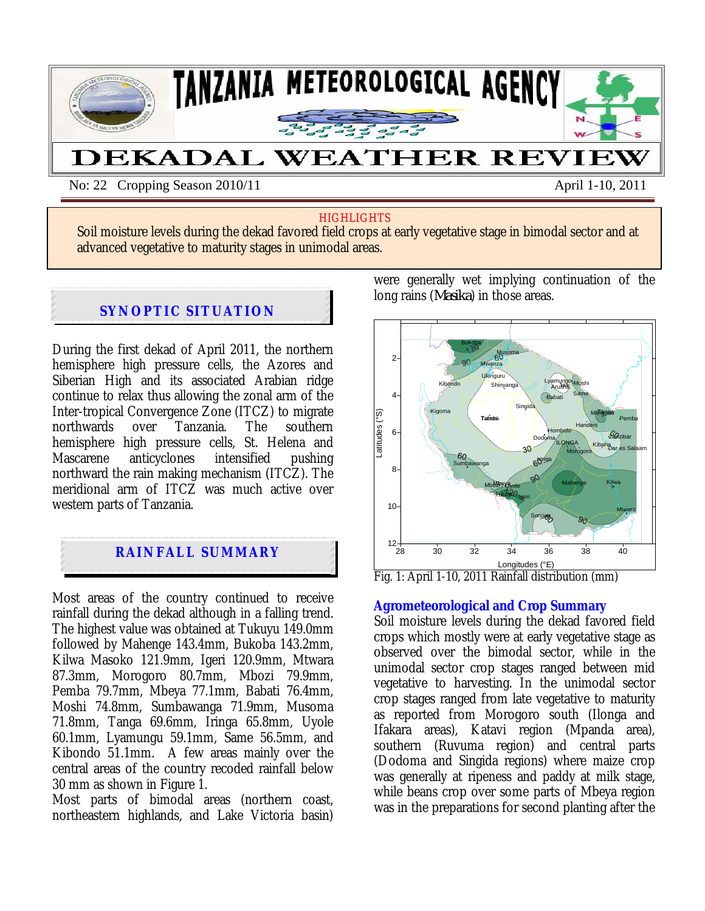

No: 22 Cropping Season 2010/11 April 1-10, 2011

#### **HIGHLIGHTS**

Soil moisture levels during the dekad favored field crops at early vegetative stage in bimodal sector and at advanced vegetative to maturity stages in unimodal areas.

# **SYNOPTIC SITUATION**

 $x_1, x_2, x_3, x_4$ 

During the first dekad of April 2011, the northern hemisphere high pressure cells, the Azores and Siberian High and its associated Arabian ridge continue to relax thus allowing the zonal arm of the Inter-tropical Convergence Zone (ITCZ) to migrate northwards hemisphere high pressure cells, St. Helena and<br>Mascarene anticyclones intensified pushing Mascarene anticyclones intensified pushing northward the rain making mechanism (ITCZ). The meridional arm of ITCZ was much active over western parts of Tanzania.



Most areas of the country continued to receive rainfall during the dekad although in a falling trend. The highest value was obtained at Tukuyu 149.0mm followed by Mahenge 143.4mm, Bukoba 143.2mm, Kilwa Masoko 121.9mm, Igeri 120.9mm, Mtwara 87.3mm, Morogoro 80.7mm, Mbozi 79.9mm, Pemba 79.7mm, Mbeya 77.1mm, Babati 76.4mm, Moshi 74.8mm, Sumbawanga 71.9mm, Musoma 71.8mm, Tanga 69.6mm, Iringa 65.8mm, Uyole 60.1mm, Lyamungu 59.1mm, Same 56.5mm, and Kibondo 51.1mm. A few areas mainly over the central areas of the country recoded rainfall below 30 mm as shown in Figure 1.

Most parts of bimodal areas (northern coast, northeastern highlands, and Lake Victoria basin) were generally wet implying continuation of the long rains (*Masika*) in those areas.



Fig. 1: April 1-10, 2011 Rainfall distribution (mm)

## **Agrometeorological and Crop Summary**

Soil moisture levels during the dekad favored field crops which mostly were at early vegetative stage as observed over the bimodal sector, while in the unimodal sector crop stages ranged between mid vegetative to harvesting. In the unimodal sector crop stages ranged from late vegetative to maturity as reported from Morogoro south (Ilonga and Ifakara areas), Katavi region (Mpanda area), southern (Ruvuma region) and central parts (Dodoma and Singida regions) where maize crop was generally at ripeness and paddy at milk stage, while beans crop over some parts of Mbeya region was in the preparations for second planting after the